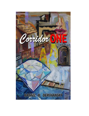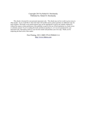#### Copyright 2015 by Rafael H. Derchansky Published by: Rafael H. Derchansky

This ebook is licensed for your personal enjoyment only. This ebook may not be re-sold or given away to other people. If you would like to share this book with another person, please purchase an additional copy for each recipient. This book or any portion thereof may not be reproduced or used in any manner whatsoever without the express written permission of the publisher except for the use of brief quotations in a book review or scholarly journal. If you're reading this book and did not purchase it, or it was not purchased for your enjoyment only, then please return to your favorite retailer and purchase your own copy. Thank you for respecting the hard work of this author.

> First Printing: 2015, ISBN 978-0-9940642-2-6 <http://www.rhdera.com>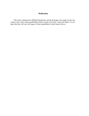# **Dedication**

This book is dedicated to Mikhail Derchansky and Jacob Kogan who taught me the true values in life, and to their grandchildren Miron, Issack, Iris, Efrat, Yanir and Adam. It is my hope that they will carry the legacy of their grandfathers in their hearts forever.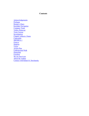# **Contents**

Acknowledgements Prologue Roman's Diary Kerzhaks Navigation Company Team Yellow Raincoat Twin Crowns **Investigation** Chapter without a Name **Catacombs** SHOMEA-1 **Geneva Surprise** Victor Action Plan Underground Walk Diamonds Freedom We are Survivors About the Author Connect with Rafael H. Derchansky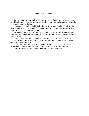### **Acknowledgements**

Only now, after having completed this book and as I go through my manuscript before its publication, do I fully understand the value and the great amount of work that was done by my many supporters and editors.

I am extremely grateful to Edith Krohmalnik, a student at the Faculty of English at the University of Toronto who took the first crack at more than 21 parts of this text and always found the time to edit between her exams.

My gratitude extends to Genya Ryzhik, professor of English at Humber College, who thoroughly went through the manuscript page by page, line by line, word by word, marking it with her red pen.

I am also sincerely thankful to Inbal Solomon and Mila Teovanovic for providing invaluable feedback and support, and for spending countless hours with me and the many characters you are about to meet.

Lastly, I thank my family, who helped turn my dream into a reality by editing and proofreading, followed by more editing. To them goes my love and deepest appreciation. This book could never become a reality without their support. Thank you.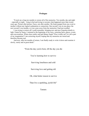# **Prologue**

"It took me a long ten months to restore all of the memories. Ten months, day and night – especially at night – lying in bed and trying to recreate what happened more than twenty years ago. Picture after picture. Faces, one after another. My brain jumped from one event to another without any logical explanation or connection. One second I was in one place; the next second I was months, or even years away from the memories I had just recalled.

I was trying to restore all I could remember, bringing new and once forgotten details to light. Frame by frame, I returned to the beginning of my story, restoring faces, places, events and conversations. Where does reality end and fantasy begin? Was it really me? Is it all a part of my imagination? I am correcting myself, hoping that my memories are stored and therefore become real.

And now, after ten months of torture, I am finally ready to write it down and examine it slowly, surely and in great detail."

"From the day you're born, till the day you die

You're learning how to survive

Surviving loneliness and cold

Surviving love and getting old

Oh, what better reason to survive

Than live a sparkling, joyful life"

Tamara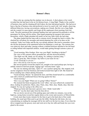#### **Roman's Diary**

Dina woke up, sensing that the airplane was in descent. A short glance at her watch revealed that she had been in the air for thirteen hours. A long flight. Thanks to the comfort of business class and the sleeping pill she'd taken, the time had passed quickly. She had never been a big fan of business class and preferred to travel in coach with 'real' people, observing different behaviors, having conversations, making new friends. But this was a long flight, and she wanted it to pass quickly and forget all the unpleasant client meetings from last week. The pilot announced the estimated landing time and expressed his gratitude to all the passengers for flying with his airline. Dina began preparing her passport and customs documents, which a flight attendant left neatly on her tray table while she had slept.

The plane landed and the long walk to customs slowly brought her back to reality. She checked her cell phone for messages and started planning the work to be done on the weekend. Today was Friday and the day was already planned. She tried to remember where she left the documents in her apartment before her departure a week ago. The customs line was relatively short and today, passing without a chained briefcase attached to her left hand or rolling behind with important artifacts, would make getting through customs a piece of cake.

"Good morning, Miss Greduer. How was your flight? Anything to declare?"

The voice of the customs officer grounded her, and she answered politely.

"The flight was OK, thank you for asking. No, nothing to declare today. "

"Have a great day, Miss Greduer. Say hello to your team for me."

"I will. Good day to you too. "

*Since when did my team become so popular?* 

She moved quickly toward the airport exit, straight to her usual pickup spot, having to artfully maneuver between people, luggage and 'welcome home' signs.

The sun was shining and today, April 15<sup>th</sup>, was a perfect spring day. She stopped, took out her sunglasses from her briefcase and looked around from right to left. She found her driver standing near a black shining limousine.

"Good morning, Ma'am." he opened the door, and Dina found herself in a comfortable seat with a fresh air-conditioned breeze blowing against her face.

"Good morning."

"How was your flight? Where are we going? Office? Home?"

The moment her brain recognized the word 'office', her eyes reflectively scanned her dress, looking for perfection. Shoes, okay. Pants, okay. Shirt, okay. Hands, okay; then she stopped. No way am I going to the office now.

"Please go home and stop near a grocery store. I think I need milk. "

"Will do" was the short reply from the limo driver.

The car slowly moved out of the parking space and within two minutes, was on the highway, racing home toward her regular duties as the owner and executive of MirexGlobe.

It took more than twenty minutes for the limo to get to the back door of her condo building, the usual spot Dina used to get into the lobby. During the ride home, she was concentrating on reading the messages left by her staff over the last two days. Even when the driver stopped near the grocery store and went out to buy her milk and bread, her eyes were glued to the screen.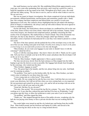Her small business was her entire life. She established MirexGlobe approximately seven years ago, two years after graduating from university, and it took her a good five years to build her reputation as the top expert in her field. Throughout all of these years, she could still hear her father saying, "We are here to survive, and we will do what it takes to survive. We are survivors. "

She was an expert in forgery investigation. Her clients comprised of private individuals, governments, affluent businessmen, auction-houses and sometimes, people with a 'shady' past. Her company had three employees and MirexGlobe was careful to avoid court appearances at all costs. Her contracts always highlighted that her job ended with sharing a proof of forgery or authenticity; she always came up with solid evidence but never agreed to court or committee appearances.

On her ride home, she found about a dozen envelopes in a cardboard box left on the seat of the limo. Some of these were from clients, which she left to her assistant, Tamara. Some were from Gregory, her chemical and compound analyst, probably concerning the final results of his investigations. She marked these as 'Need to Read'. One of the documents was from Igor, her day-to-day detective, whom she jokingly called 'Igor Holmes', which described a series of pictures he had analyzed for a case they were slated to present to a client next week.

The door of the limo opened, and she pushed the box of the envelopes away as she slid out of her car seat, feeling some pain in her back. *Possibly from sitting too much on the plane or from being in an uncomfortable position in the limo* she thought.

"Miss Greduer, do you want your luggage in your suite or should I leave it with the concierge?" asked her driver.

"Leave it with the concierge please - they know what to do with it. Thank you for a quiet ride. Tell your boss to include your tip in the bill as usual, and please take the envelopes I left on the car sit to my office."

"Will do, Miss Greduer. I highly appreciate it. Have a great evening."

The limo moved away slowly from the back entrance as Dina stepped into the lobby, hoping to get into the shower as soon as possible. Her luggage had already been brought in by the concierge, who waited near the door.

"Miss Greduer, luggage as usual?"

"Yes. The green bag to the laundry, and the rest, please bring into my suite. And thank you for watering my plants. "

"No problem. Your mail is on the kitchen table. By the way, Miss Greduer, you had a visitor come in looking for you three times this week. "

"A nice young man on a white horse?" Dina smiled.

"Not really. He was young but he rode the bus every time. I told him that you were away as per your directions, but I did not tell him when you were coming back, as you requested. He was persistent and waited for an hour every visit, and he left an envelope with me on his last visit. I put it with all your mail on the table. "

"Great job. Did they fix my elevator?"

"Not sure. One second," He reviewed the log file for a minute. "No, sorry. They're still working on it. It says that they ordered the parts and they'll be here on Wednesday. Could you please sign this form, to allow the technician to enter your suite if you're not home?"

"No problem" and Dina signed the form.

"Thank you." She stepped through the doors of the public elevator, wondering why the hell she was paying extra money to have a private elevator that was not working half the time.

The condo lights were turned on and the city looked grey and boring from the twelfth floor. Dina looked around, put her briefcase and laptop on a table, and moved to the bedroom, removing her shoes on the way to a long-awaited shower.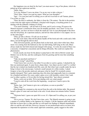Her happiness was cut short by the loud 'you-must-answer' ring of her phone, which she picked up in her underwear and bra.

"Hello, Dina. "

"Is it you, Holmes? Leave me alone. I'm on my way to take a shower. "

"Wait, Dina. I know you read my report. What are your thoughts?"

"Igor – I'm your boss and I'm telling you to call me in an hour or call Tamara, please. I'm as dirty as a pig. "

"Dina, the dress is authentic, the fabric is from the 17th century. The dirt in the pockets is also from the right region in Holland, I checked with Gregory; everything points to us dealing with the authentic clothing of a King."

"You aren't listening – call me back in an hour, and if you're wrong, I'll remove the Munich museum's commission from your fat monthly paycheck. Am I clear? To be even more specific, you have an hour to check the small rip I saw in your photograph of the dress near the left pocket, do a spectrum analysis, and tell me when and how it was ripped. Are we on the same page?"

"Dina, go take a shower. I'll call you in an hour."

The line went silent, Dina left the phone handle off the hook and with a smile and a little dance, moved through the shower door.

Dina showered quickly, put the phone back on the hook, and a short while later, blues music was coming from the bedroom as she was half-sitting, half-lying on the sofa. Blues always made her feel both relaxed and charged with energy. At work, the sound of blues was a necessity; it helped her concentrate and do things efficiently. She could not explain this phenomenon.

It took exactly one hour for the phone to jump back to life with its Brrrrrrr sound. Igor Holmes was on the line, and she could guess from his greeting and his tone that something was wrong.

"Take my paycheck and burn it."

"What's wrong?" asked Dina.

"I don't know how you do it, but either I'm an idiot or you're a genius. I checked the rip that you mentioned again. It came from a sharp object. Any object can do it and I've verified that the rip is indeed one hundred and fifty years old. But when I put a needle under the rip to bring it closer to the microscope, I noticed a small amount of a white residue. I asked Gregory to have the powder analyzed, and guess what he found? It's twentieth century laundry detergent! That's quite surprising since this dress had supposedly been in a museum for a hundred and thirty five years, under a glass cover with humidity control. Like I said, you're either a genius, or I'm an idiot for having missed this," Igor almost screamed.

"Relax, you're not an idiot. We're just dealing with very smart people."

"I need to redo all the work from the beginning - except now I need to prove the opposite."

"Relax, Igor. Ask Tamara to give me a call please, as soon as possible."

"Okay. Ciao."

Dina thought for a moment as she moved from the sofa to the kitchen table. She poured herself a glass of water and went back to the sofa. It took almost ten minutes before Tamara rang.

"Welcome back. I guess our quiet life is over. It's 10pm and I'm calling you, as per your request."

"Hi to you too, Tamara. We don't have time, sorry. The Munich museum is going to pay a quarter of a million Marks to the Japanese for a forgery. Call the Japanese seller and inform him that we know this is a fake and that we will report our findings to Munich immediately after we end the call with him. However, because we are professionals and as we know how important his reputation is in this small, tight-knit community, gently suggest to the seller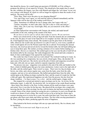that should he choose, for a small lump-sum payment of \$100,000, we'll be willing to postpone the delivery of our report by 24 hours. This should give him ample time to cancel the sale, withdraw the forgery, save face with Munich and trigger the 'exit clause' in our very own contract with Munich, by which we will no longer be required to share the results of our analysis. The secret will be safe."

"Wait, Dina. That's twice the price we are charging Munich!"

"Yes, and if they won't agree, we will send the report to Munich immediately and the Japanese seller will be shut out of the trading world forever."

"Okay. Sometimes it's difficult for me to change sides, but I agree with you."

"Tamara, remember, we don't take sides. Our job is only to verify and analyze."

"Okay, okay. Do it your way. Good night, Dina, see you tomorrow at the office." "Good night."

As Dina replayed her conversation with Tamara, she smiled, and made herself comfortable on the sofa, soaking in the sounds of the blues.

*We are here to survive and we will do what it takes to survive. We are survivors.*

Dina's eyes closed slowly as the jet lag took hold. From the moment she sat comfortably on the sofa, the glass of water in her hand felt as if it weighed ten kilos. She knew what to do; it had happened many times already. She needed to put the glass back on the kitchen table, otherwise she would wake up tomorrow in a pile of water or, even worse, a puddle of water would appear all over the Persian carpet that she so adored. Overcoming the unusual heaviness, she stood up and moved slowly toward the kitchen table, her left hand rubbing her eyes to keep them open. She smiled, covering a distance of two meters before landing in a kitchen chair. *Mission accomplished.* She smiled again as her eyes met the pile of mail left on the kitchen table by the concierge. Her smile disappeared. She cursed and took a minute to think of what would happen if she opened the mail tomorrow.

She could, but what if some mail was work related? The weekend would go to waste. As she was searching for a compromise, her eyes slowly closed again. Okay, she decided, I'll open some of the mail now. She slowly moved the pile of letters and magazines toward her body and, with only one eye open, started to separate magazines from letters.

The process was easy - magazines were pushed to the end of the table and landed on the floor, a kind of childish game that gave her some satisfaction. Letters went to the right side of the table, and she smiled again. There weren't so many. There were two big envelopes, one brown, one white, and a dozen regular ones, some from the bank, some from the cable company, and one or two advertisements. She huffed and pushed them from the table. She smiled again as the falling envelopes reached the floor, and the sound of it made her feel like a little girl again. She experienced happiness not only from the process, but also from her sleepy condition – *I'm Superwoman, I'm a robot* – and she smiled again, a happy smile.

She stopped for a second and started to open envelopes one by one. An invoice for the dishwasher repair. A cable bill. An electricity bill. An invitation to her condo Board meeting - these letters flew directly to the floor. In three minutes all the small envelopes were open and sorted. Now it was time for the big ones. She placed all the envelopes into a single pile, knowing that the first white envelope was the court invitation she had been awaiting for over a month. Some of her clients insisted on seeing her give a testimony in court even though she would never dream of such a thing. She would even go as far as having her clients sign a contract attesting never to invite her to court, but some tried their luck. From time to time she got phone calls from court clerks and follow-up letters. The first white envelop parachuted to the floor, joining the others, producing again the noise of happiness.

Dina looked at the brown envelope with one eye open and slowly, like in a dream, read its inscription.

*Dina, I'll be in town next week. Hope to see you, R.*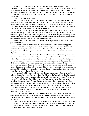Slowly, she opened her second eye. Her facial expression turned surprised and inquisitive. A handwritten greeting with no return address and no stamps. It had been a while since Dina had received handwritten greetings in large mysterious envelopes. It got her attention. She hesitated. *Take it and open it, or do it in the morning?* The size of the envelope had also been suspicious. Something big was in it. She took it in her hand and flipped it over several times.

#### *Dina, I'll be in town next week.*

Analyzing items around her had become second nature. Even though the handwritten sentence was short, she was certain that it was written by a man. The brown colour of the envelope indicated that it was from a convenience store; their big brown envelopes were made from cheap recycled papers. The envelope had a visible line in the middle, telling Dina it had been bent, probably for the convenience of transfer.

She became irritated by all the thoughts going through her head and stood up from the kitchen table, ready to finally move into the bedroom. As she got up, her right foot slid on top of the papers on the floor. On the verge of losing her balance, she grabbed the top of the kitchen table with both hands. Scared and shocked into instantaneous alertness, she realized that the brown envelope was in close proximity of her face.

"Damn you" she said out loud. She never had been superstitious. "Okay, I'll see what you have inside. "

She took the letter opener that she had used for all of the other letters and ripped the brown envelope open, lifting it up from the corner, waiting to see what would come out. A bunch of letter-size pages, around 30 to 40 held together with a metal clip, fell out. Dina recognized that the larger pages were photocopies of the smaller originals that they were clipped to.

The color of the originals was dark yellow with horizontal blue lines. They looked like standard banknotes. She needed more light to recognize what was written on them, but even without light she was able to see that they were handwritten in blue, or maybe black, ink.

As she moved towards the kitchen dimmer switch, she caught a brief glance at the wall clock and noticed that it was quarter after eleven. Dina turned the dimmer all the way up and the kitchen was instantly brighter. She was back in the kitchen, this time carefully going around the papers on the floor. Now, with all of the pot-lights working to their maximum, the kitchen table looked as if it was under a projector, thanks to the extra light Dina had installed when she moved into the condo six years ago.

She sat comfortably on the chair and began browsing through the first page, slowly going to the middle of the pile, then to the end and back to the beginning again. She noticed that the handwritten letters became smaller and smaller as she moved from the first page to the last. Towards the end, the writing was so small that the last page alone probably contained the same amount of written lines as all the ten previous pages combined. The colour of the ink was also alternating between dark blue to black and sometimes red, and she noticed that some paragraphs and even pages were written with a pencil. The handwriting seemed like that of a child, and she wasn't sure whether it was a boy or a girl. Some lines were written under intense pressure, making words and sentences jump over the blue horizontal lines of the page.

For some unknown reason, she got a warm feeling holding the papers in her hands. She didn't understand why, but she was now ready, with some surprising pleasure, to read the first page. She felt a familiar feeling just holding these pages in her hands. Something warm and homey.

Dina stood up, opened the refrigerator, and tried to find the energy drink that she usually had well-stocked in her fridge. Tonight, it seemed she was fresh out of this staple. Coming back to her seat and taking a small sip from the glass of water on the table, she moved the first page close to her face and began to read.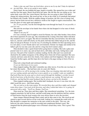*Today is day one and I have my fresh diary, given to me by my dad. Today he informed us – me and Dina - that we are going to move again.*

Dina's hand, the one holding the page, began to tremble. She opened her eyes wider and read the first line again. Shock raced down her spine. She felt like she was sitting on ice - her entire body went cold. Her vision blurred. She knew she was going to faint if she didn't change her sitting position. She stood up fast, as fast as she could, as if somebody had poked her behind with a needle. With the sudden change of position, she felt a loss of energy and power, but her brain moved into a defensive mode as she fought to regain consciousness. She took the glass of water again and emptied it.

*No, it's not possible*, was the first thought that went through her head. *It's not possible, it can't be real.*

She took the envelope in her hands from where she had dropped it in her state of shock and read it again.

"Hope to see you, R."

If it was a miracle, then R might've stood for Roman, her only older brother, from whom she'd been separated 20 years ago. She remembered the evening when their father told them they needed to move yet again. She did not remember that they moved before, but she'd only been six, and she could still clearly see the pretty doll that their father had given her, and the diary he had given Roman. It was his way of consoling his children for their upcoming move to a new place, to new friends and to new environments. Roman was happy and smiled at his father's gift; he was nine years old, and for a long time he'd wanted a diary.

Dina decided to take a quick break before going back to reading. She took a glass and poured water in it, took a sip, and sat back down, still shaky and weak, feeling heavy and nervous. One part of her wanted to continue reading, but the other part was scared and shocked by the sudden resurgence of the sibling from whom she'd been separated. Her eyes watered, and tears came down her cheeks, from sadness and from happiness. She may have found her brother again, and this hope drove her back to the page resting in front of her on the table.

Dina took a deep breath and continued reading.

*It was our third move in two years.*

Dina stopped reading. She didn't remember any other moves. Even this one was hazy in her mind. But maybe… She had been only six years old. Maybe.

*Dad told us we will be moving in the evening. Dina was sleeping when dad told me the car was waiting outside and asked me to move quietly so we wouldn't wake our neighbors. Dad took Dina into his arms and we slowly moved through the building's corridor toward the first back door of the first floor where a small minivan was waiting. We had only one briefcase, and dad had his usual backpack that he always carried on his shoulder.*

Dina stopped reading again. She recalled dad's backpack, but now it was clear why she didn't recall the move - she'd been asleep.

*The car took us to the train station. We traveled three days and three nights and changed trains three times. I lost track of all direction, and when I asked dad where we're going, he answered with a smile. "You'll see, Roman. You'll see. "*

Dina stood up. Three days and three nights. She remembered something. Yes, the train stopped sometimes for half an hour, and dad would jump onto the platform and buy cartons of fresh berries from the local women who were always there to serve the travelers.

Some images flittered through Dina's mind, and an idea came to her. She stood up and started to open several shelves on her work desk, looking for a notepad she could write on. She decided to compare her memories to the ones written in the diary. This way, she believed, the entire memory could be recorded and complement Roman's notes. She imagined that the photocopied pages were of Roman's actual diary notes. This is good. This is great.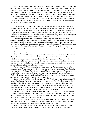*After our long journey, we found ourselves in the middle of nowhere! Dina was annoying and asked dad to go to the washroom every hour. When we finally got off the train, the only thing we saw were a few houses, a water tower, and the station house, all surrounded by a green forest. Dad mentioned that somebody was coming to pick us up and bring us to our new home. It took around one hour or maybe two before a small green car showed up on the road, creating a big dust cloud behind. The car sounded very loud and Dina was scared.*

Yes, Dina did remember the green car. She'd been behind her dad holding his leg when the car pulled up near the station house and one big, dirty man came out, shook dad's hand, and helped him with their briefcase.

*"Our new home" is actually one room, with no kitchen and no washroom. To pee, we need to go outside. We are in a village. It has forty similar houses. I counted on the second day we arrived. It has one small store with nothing in it. One day each week, a green car brings bread and some cans with food from the store. The local people are nice. We don't have school. When I asked dad where the school is, he said we are going to have our regular classes at home. He will be our teacher and our mentor.*

Dina took a pen and marked "Memory #1" on the top line of the page and started writing: "The village people were nice to our family; it took less than one week for Roman and I to have plenty of friends. Roman was popular among the local boys. He was tall and could match anybody his age in physical prowess. I had two girlfriends, Anna and Maia, who became my childhood best friends." Dina stopped and went back to Roman's diary.

*Dad found a job at the local repair shop. He can repair any small item, from watches to sewing machines. He also volunteered to teach math and physics to the local children from the ages of eight to sixteen.* 

Dina smiled and "Memory #2" appeared in the middle of the page. "I recall the evening classes dad taught in our room. I wasn't allowed to participate and was supposed to sit outside or in the corner of the room, and when he asked questions, I always knew the answers and tried to show off. It was easy for me; I had a good memory and tried to please dad, but he always looked to the others for the answers and gestured me to keep quiet with his hand. Finished, Dina started reading again.

*Summer was fun. Winter was difficult, cold and boring. Two years passed and Dina joined our class in the evening. She finally got a chance to answer dad's questions. This girl was a big show off! During last winter, we started having family time every Friday. Dad usually tried to come home early from his repair shop and we didn't have any classes on Fridays. Some days we were lucky and dad had some sweets for us too. I have no idea where and how he would manage to get them in our village.* 

Dina smiled again. She wrote down "Memory #3". She knew where dad was getting his sweets. One Friday, she spied on him and saw him going into Aunt Bronia's house on the outskirts of the village. Aunt Bronia would cook sweets using berries and birch tree juice, which locals collected in the spring. Dina would be in heaven when dad held all of the sweets in the big palms of his hands. Hands she adored so much. She also remembered a big, teninch pink scar on his left hand. The scar she loved to touch and stroke.

*Our family time*, Dina continued reading, *involved a tradition of sitting on the floor in front of the iron wood heater and dad telling funny stories, with Dina and I adding our own details, and even telling our own stories once in a while. Dad taught us to value our family. He repeatedly said to us "We are survivors".* 

*One Friday, a strange event took place as we were sitting and waiting for dad to come home. He was late and I started to worry. Where was he? It took an hour before the door opened and he moved inside the room completely covered with snow.*

*When I asked him what happened, he mumbled something, took off his coat, dusted off the snow and sat near me with a big smile. "Today I'm going to show you something*